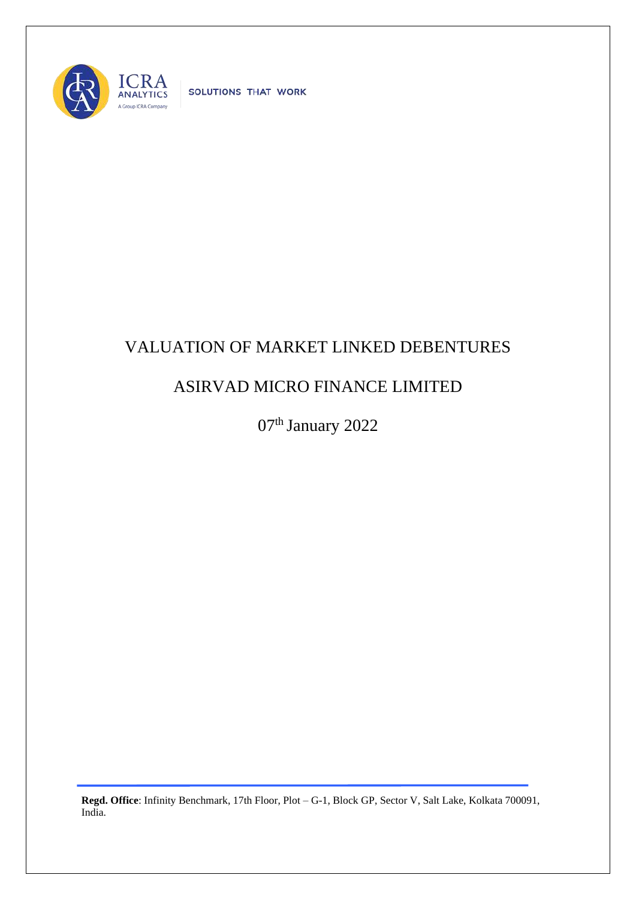

SOLUTIONS THAT WORK

## VALUATION OF MARKET LINKED DEBENTURES

## ASIRVAD MICRO FINANCE LIMITED

07<sup>th</sup> January 2022

**Regd. Office**: Infinity Benchmark, 17th Floor, Plot – G-1, Block GP, Sector V, Salt Lake, Kolkata 700091, India.